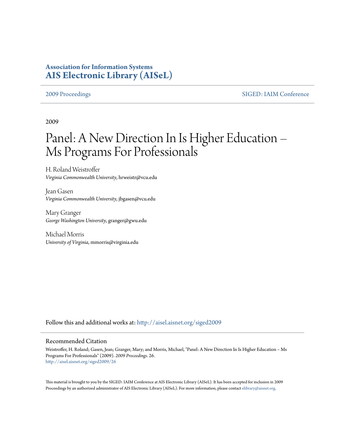## **Association for Information Systems [AIS Electronic Library \(AISeL\)](http://aisel.aisnet.org?utm_source=aisel.aisnet.org%2Fsiged2009%2F26&utm_medium=PDF&utm_campaign=PDFCoverPages)**

[2009 Proceedings](http://aisel.aisnet.org/siged2009?utm_source=aisel.aisnet.org%2Fsiged2009%2F26&utm_medium=PDF&utm_campaign=PDFCoverPages) [SIGED: IAIM Conference](http://aisel.aisnet.org/siged?utm_source=aisel.aisnet.org%2Fsiged2009%2F26&utm_medium=PDF&utm_campaign=PDFCoverPages)

2009

# Panel: A New Direction In Is Higher Education – Ms Programs For Professionals

H. Roland Weistroffer *Virginia Commonwealth University*, hrweistr@vcu.edu

Jean Gasen *Virginia Commonwealth University*, jbgasen@vcu.edu

Mary Granger *George Washington University*, granger@gwu.edu

Michael Morris *University of Virginia*, mmorris@virginia.edu

Follow this and additional works at: [http://aisel.aisnet.org/siged2009](http://aisel.aisnet.org/siged2009?utm_source=aisel.aisnet.org%2Fsiged2009%2F26&utm_medium=PDF&utm_campaign=PDFCoverPages)

#### Recommended Citation

Weistroffer, H. Roland; Gasen, Jean; Granger, Mary; and Morris, Michael, "Panel: A New Direction In Is Higher Education – Ms Programs For Professionals" (2009). *2009 Proceedings*. 26. [http://aisel.aisnet.org/siged2009/26](http://aisel.aisnet.org/siged2009/26?utm_source=aisel.aisnet.org%2Fsiged2009%2F26&utm_medium=PDF&utm_campaign=PDFCoverPages)

This material is brought to you by the SIGED: IAIM Conference at AIS Electronic Library (AISeL). It has been accepted for inclusion in 2009 Proceedings by an authorized administrator of AIS Electronic Library (AISeL). For more information, please contact [elibrary@aisnet.org](mailto:elibrary@aisnet.org%3E).